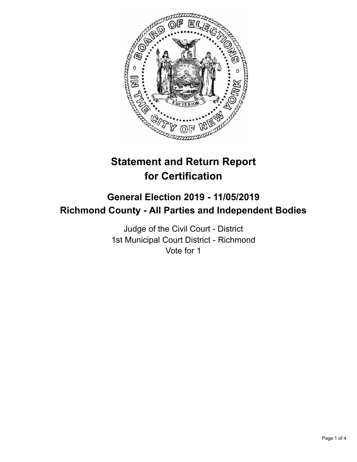

# **Statement and Return Report for Certification**

# **General Election 2019 - 11/05/2019 Richmond County - All Parties and Independent Bodies**

Judge of the Civil Court - District 1st Municipal Court District - Richmond Vote for 1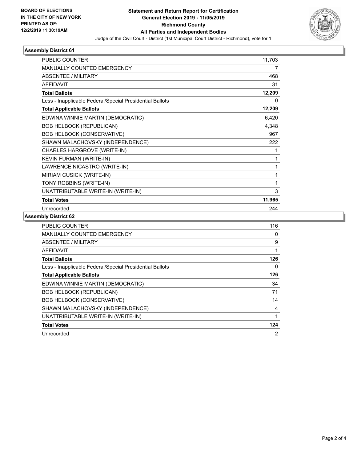

#### **Assembly District 61**

| PUBLIC COUNTER                                           | 11,703 |
|----------------------------------------------------------|--------|
| <b>MANUALLY COUNTED EMERGENCY</b>                        | 7      |
| ABSENTEE / MILITARY                                      | 468    |
| <b>AFFIDAVIT</b>                                         | 31     |
| <b>Total Ballots</b>                                     | 12,209 |
| Less - Inapplicable Federal/Special Presidential Ballots | 0      |
| <b>Total Applicable Ballots</b>                          | 12,209 |
| EDWINA WINNIE MARTIN (DEMOCRATIC)                        | 6,420  |
| <b>BOB HELBOCK (REPUBLICAN)</b>                          | 4,348  |
| <b>BOB HELBOCK (CONSERVATIVE)</b>                        | 967    |
| SHAWN MALACHOVSKY (INDEPENDENCE)                         | 222    |
| CHARLES HARGROVE (WRITE-IN)                              | 1      |
| <b>KEVIN FURMAN (WRITE-IN)</b>                           | 1      |
| LAWRENCE NICASTRO (WRITE-IN)                             | 1      |
| MIRIAM CUSICK (WRITE-IN)                                 | 1      |
| TONY ROBBINS (WRITE-IN)                                  | 1      |
| UNATTRIBUTABLE WRITE-IN (WRITE-IN)                       | 3      |
| <b>Total Votes</b>                                       | 11,965 |
| Unrecorded                                               | 244    |
|                                                          |        |

## **Assembly District 62**

| <b>PUBLIC COUNTER</b>                                    | 116 |
|----------------------------------------------------------|-----|
| MANUALLY COUNTED EMERGENCY                               | 0   |
| ABSENTEE / MILITARY                                      | 9   |
| <b>AFFIDAVIT</b>                                         | 1   |
| <b>Total Ballots</b>                                     | 126 |
| Less - Inapplicable Federal/Special Presidential Ballots | 0   |
| <b>Total Applicable Ballots</b>                          | 126 |
| EDWINA WINNIE MARTIN (DEMOCRATIC)                        | 34  |
| <b>BOB HELBOCK (REPUBLICAN)</b>                          | 71  |
| <b>BOB HELBOCK (CONSERVATIVE)</b>                        | 14  |
| SHAWN MALACHOVSKY (INDEPENDENCE)                         | 4   |
| UNATTRIBUTABLE WRITE-IN (WRITE-IN)                       |     |
| <b>Total Votes</b>                                       | 124 |
| Unrecorded                                               | 2   |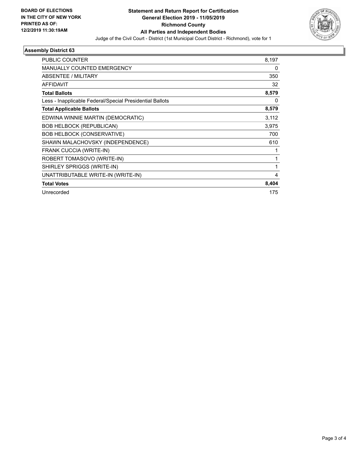

## **Assembly District 63**

| PUBLIC COUNTER                                           | 8,197 |
|----------------------------------------------------------|-------|
| MANUALLY COUNTED EMERGENCY                               | 0     |
| ABSENTEE / MILITARY                                      | 350   |
| <b>AFFIDAVIT</b>                                         | 32    |
| <b>Total Ballots</b>                                     | 8,579 |
| Less - Inapplicable Federal/Special Presidential Ballots | 0     |
| <b>Total Applicable Ballots</b>                          | 8,579 |
| EDWINA WINNIE MARTIN (DEMOCRATIC)                        | 3,112 |
| <b>BOB HELBOCK (REPUBLICAN)</b>                          | 3,975 |
| <b>BOB HELBOCK (CONSERVATIVE)</b>                        | 700   |
| SHAWN MALACHOVSKY (INDEPENDENCE)                         | 610   |
| FRANK CUCCIA (WRITE-IN)                                  | 1     |
| ROBERT TOMASOVO (WRITE-IN)                               | 1     |
| SHIRLEY SPRIGGS (WRITE-IN)                               | 1     |
| UNATTRIBUTABLE WRITE-IN (WRITE-IN)                       | 4     |
| <b>Total Votes</b>                                       | 8,404 |
| Unrecorded                                               | 175   |